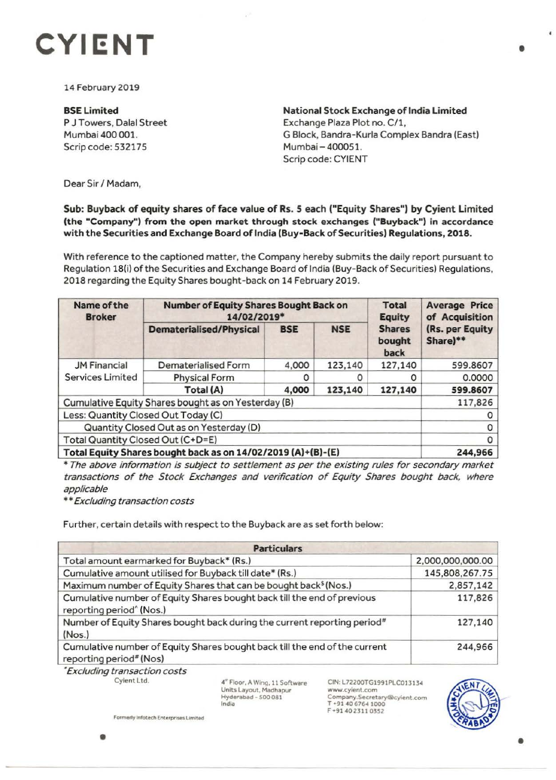

14 February 2019

BSE Limited P J Towers, Dalal Street Mumbai 400 001. Scrip code: 532175

**National Stock Exchange of India Limited**  Exchange Plaza Plot no. C/1, G Block, Bandra-Kurla Complex Bandra (East) Mumbai - 400051. Scrip code: CYIENT

Dear Sir/ Madam,

## Sub: Buyback of equity shares of face value of Rs. s each ("Equity Shares") by Cyient Limited **(the "Company") from the open market through stock exchanges ("Buyback") in accordance with the Securities and Exchange Board of India (Buy-Back of Securities) Regulations, 2018.**

With reference to the captioned matter, the Company hereby submits the daily report pursuant to Regulation 18(i) of the Securities and Exchange Board of India (Buy-Back of Securities) Regulations, 2018 regarding the Equity Shares bought-back on 14 February 2019.

| Name of the<br><b>Broker</b>                                 | <b>Number of Equity Shares Bought Back on</b><br>14/02/2019* |            |            | <b>Total</b><br><b>Equity</b>   | <b>Average Price</b><br>of Acquisition |
|--------------------------------------------------------------|--------------------------------------------------------------|------------|------------|---------------------------------|----------------------------------------|
|                                                              | <b>Dematerialised/Physical</b>                               | <b>BSE</b> | <b>NSE</b> | <b>Shares</b><br>bought<br>back | (Rs. per Equity<br>Share)**            |
| <b>JM Financial</b><br><b>Services Limited</b>               | Dematerialised Form                                          | 4,000      | 123,140    | 127,140                         | 599.8607                               |
|                                                              | <b>Physical Form</b>                                         | O          |            | 0                               | 0.0000                                 |
|                                                              | Total (A)                                                    | 4,000      | 123,140    | 127,140                         | 599.8607                               |
| Cumulative Equity Shares bought as on Yesterday (B)          |                                                              |            |            |                                 | 117,826                                |
| Less: Quantity Closed Out Today (C)                          |                                                              |            |            |                                 |                                        |
| Quantity Closed Out as on Yesterday (D)                      |                                                              |            |            |                                 |                                        |
| Total Quantity Closed Out (C+D=E)                            |                                                              |            |            |                                 |                                        |
| Total Equity Shares bought back as on 14/02/2019 (A)+(B)-(E) |                                                              |            |            |                                 | 244,966                                |

\* The above information is subject to settlement as per the existing rules for secondary market transactions of the Stock Exchanges and verification of Equity Shares bought back, where applicable

\*\*Excluding transaction costs

Further, certain details with respect to the Buyback are as set forth below:

| <b>Particulars</b>                                                                                              |                  |  |  |  |
|-----------------------------------------------------------------------------------------------------------------|------------------|--|--|--|
| Total amount earmarked for Buyback* (Rs.)                                                                       | 2,000,000,000.00 |  |  |  |
| Cumulative amount utilised for Buyback till date* (Rs.)                                                         | 145,808,267.75   |  |  |  |
| Maximum number of Equity Shares that can be bought back <sup>§</sup> (Nos.)                                     | 2,857,142        |  |  |  |
| Cumulative number of Equity Shares bought back till the end of previous<br>reporting period <sup>^</sup> (Nos.) | 117,826          |  |  |  |
| Number of Equity Shares bought back during the current reporting period#<br>(Nos.)                              | 127,140          |  |  |  |
| Cumulative number of Equity Shares bought back till the end of the current<br>reporting period# (Nos)           | 244,966          |  |  |  |

'Excluding transaction costs Cyient Ltd.

**4~** Floor. **A** Wing, l l Software Units Layout, Madhapur **Hyderabad** • 500 081 **India** 

CIN:L72200TG1991PLC013134 www.cyienl.com Company. **Secretary®cyient.com**  T **+91 .olO 676.ol 1000**  F **+9 140231103S2** 



Formerly Infotech Enterprises Limited

•